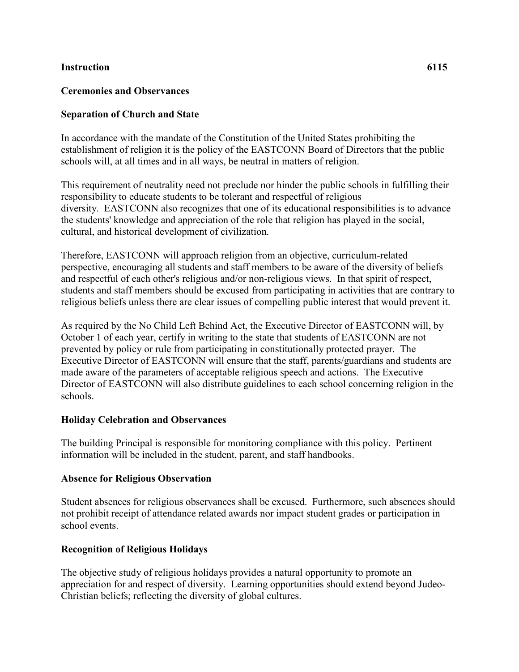### **Instruction 6115**

### **Ceremonies and Observances**

### **Separation of Church and State**

In accordance with the mandate of the Constitution of the United States prohibiting the establishment of religion it is the policy of the EASTCONN Board of Directors that the public schools will, at all times and in all ways, be neutral in matters of religion.

This requirement of neutrality need not preclude nor hinder the public schools in fulfilling their responsibility to educate students to be tolerant and respectful of religious diversity. EASTCONN also recognizes that one of its educational responsibilities is to advance the students' knowledge and appreciation of the role that religion has played in the social, cultural, and historical development of civilization.

Therefore, EASTCONN will approach religion from an objective, curriculum-related perspective, encouraging all students and staff members to be aware of the diversity of beliefs and respectful of each other's religious and/or non-religious views. In that spirit of respect, students and staff members should be excused from participating in activities that are contrary to religious beliefs unless there are clear issues of compelling public interest that would prevent it.

As required by the No Child Left Behind Act, the Executive Director of EASTCONN will, by October 1 of each year, certify in writing to the state that students of EASTCONN are not prevented by policy or rule from participating in constitutionally protected prayer. The Executive Director of EASTCONN will ensure that the staff, parents/guardians and students are made aware of the parameters of acceptable religious speech and actions. The Executive Director of EASTCONN will also distribute guidelines to each school concerning religion in the schools.

#### **Holiday Celebration and Observances**

The building Principal is responsible for monitoring compliance with this policy. Pertinent information will be included in the student, parent, and staff handbooks.

#### **Absence for Religious Observation**

Student absences for religious observances shall be excused. Furthermore, such absences should not prohibit receipt of attendance related awards nor impact student grades or participation in school events.

# **Recognition of Religious Holidays**

The objective study of religious holidays provides a natural opportunity to promote an appreciation for and respect of diversity. Learning opportunities should extend beyond Judeo-Christian beliefs; reflecting the diversity of global cultures.